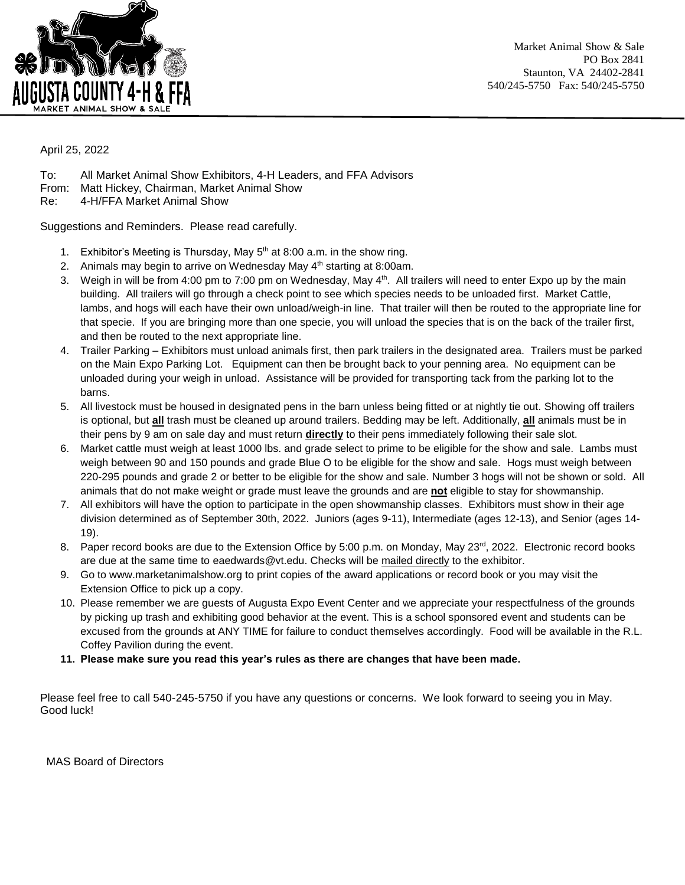

Market Animal Show & Sale PO Box 2841 Staunton, VA 24402-2841 540/245-5750 Fax: 540/245-5750

#### April 25, 2022

- To: All Market Animal Show Exhibitors, 4-H Leaders, and FFA Advisors
- From: Matt Hickey, Chairman, Market Animal Show
- Re: 4-H/FFA Market Animal Show

Suggestions and Reminders. Please read carefully.

- 1. Exhibitor's Meeting is Thursday, May  $5<sup>th</sup>$  at 8:00 a.m. in the show ring.
- 2. Animals may begin to arrive on Wednesday May  $4<sup>th</sup>$  starting at 8:00am.
- 3. Weigh in will be from 4:00 pm to 7:00 pm on Wednesday, May  $4<sup>th</sup>$ . All trailers will need to enter Expo up by the main building. All trailers will go through a check point to see which species needs to be unloaded first. Market Cattle, lambs, and hogs will each have their own unload/weigh-in line. That trailer will then be routed to the appropriate line for that specie. If you are bringing more than one specie, you will unload the species that is on the back of the trailer first, and then be routed to the next appropriate line.
- 4. Trailer Parking Exhibitors must unload animals first, then park trailers in the designated area. Trailers must be parked on the Main Expo Parking Lot. Equipment can then be brought back to your penning area. No equipment can be unloaded during your weigh in unload. Assistance will be provided for transporting tack from the parking lot to the barns.
- 5. All livestock must be housed in designated pens in the barn unless being fitted or at nightly tie out. Showing off trailers is optional, but **all** trash must be cleaned up around trailers. Bedding may be left. Additionally, **all** animals must be in their pens by 9 am on sale day and must return **directly** to their pens immediately following their sale slot.
- 6. Market cattle must weigh at least 1000 lbs. and grade select to prime to be eligible for the show and sale. Lambs must weigh between 90 and 150 pounds and grade Blue O to be eligible for the show and sale. Hogs must weigh between 220-295 pounds and grade 2 or better to be eligible for the show and sale. Number 3 hogs will not be shown or sold. All animals that do not make weight or grade must leave the grounds and are **not** eligible to stay for showmanship.
- 7. All exhibitors will have the option to participate in the open showmanship classes. Exhibitors must show in their age division determined as of September 30th, 2022. Juniors (ages 9-11), Intermediate (ages 12-13), and Senior (ages 14- 19).
- 8. Paper record books are due to the Extension Office by 5:00 p.m. on Monday, May 23<sup>rd</sup>, 2022. Electronic record books are due at the same time to eaedwards@vt.edu. Checks will be mailed directly to the exhibitor.
- 9. Go to www.marketanimalshow.org to print copies of the award applications or record book or you may visit the Extension Office to pick up a copy.
- 10. Please remember we are guests of Augusta Expo Event Center and we appreciate your respectfulness of the grounds by picking up trash and exhibiting good behavior at the event. This is a school sponsored event and students can be excused from the grounds at ANY TIME for failure to conduct themselves accordingly. Food will be available in the R.L. Coffey Pavilion during the event.
- **11. Please make sure you read this year's rules as there are changes that have been made.**

Please feel free to call 540-245-5750 if you have any questions or concerns. We look forward to seeing you in May. Good luck!

MAS Board of Directors